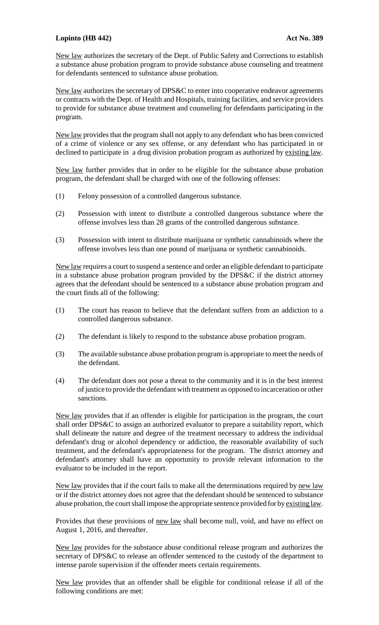## **Lopinto (HB 442) Act No. 389**

New law authorizes the secretary of the Dept. of Public Safety and Corrections to establish a substance abuse probation program to provide substance abuse counseling and treatment for defendants sentenced to substance abuse probation.

New law authorizes the secretary of DPS&C to enter into cooperative endeavor agreements or contracts with the Dept. of Health and Hospitals, training facilities, and service providers to provide for substance abuse treatment and counseling for defendants participating in the program.

New law provides that the program shall not apply to any defendant who has been convicted of a crime of violence or any sex offense, or any defendant who has participated in or declined to participate in a drug division probation program as authorized by existing law.

New law further provides that in order to be eligible for the substance abuse probation program, the defendant shall be charged with one of the following offenses:

- (1) Felony possession of a controlled dangerous substance.
- (2) Possession with intent to distribute a controlled dangerous substance where the offense involves less than 28 grams of the controlled dangerous substance.
- (3) Possession with intent to distribute marijuana or synthetic cannabinoids where the offense involves less than one pound of marijuana or synthetic cannabinoids.

New law requires a court to suspend a sentence and order an eligible defendant to participate in a substance abuse probation program provided by the DPS&C if the district attorney agrees that the defendant should be sentenced to a substance abuse probation program and the court finds all of the following:

- (1) The court has reason to believe that the defendant suffers from an addiction to a controlled dangerous substance.
- (2) The defendant is likely to respond to the substance abuse probation program.
- (3) The available substance abuse probation program is appropriate to meet the needs of the defendant.
- (4) The defendant does not pose a threat to the community and it is in the best interest of justice to provide the defendant with treatment as opposed to incarceration or other sanctions.

New law provides that if an offender is eligible for participation in the program, the court shall order DPS&C to assign an authorized evaluator to prepare a suitability report, which shall delineate the nature and degree of the treatment necessary to address the individual defendant's drug or alcohol dependency or addiction, the reasonable availability of such treatment, and the defendant's appropriateness for the program. The district attorney and defendant's attorney shall have an opportunity to provide relevant information to the evaluator to be included in the report.

New law provides that if the court fails to make all the determinations required by new law or if the district attorney does not agree that the defendant should be sentenced to substance abuse probation, the court shall impose the appropriate sentence provided for by existing law.

Provides that these provisions of new law shall become null, void, and have no effect on August 1, 2016, and thereafter.

New law provides for the substance abuse conditional release program and authorizes the secretary of DPS&C to release an offender sentenced to the custody of the department to intense parole supervision if the offender meets certain requirements.

New law provides that an offender shall be eligible for conditional release if all of the following conditions are met: